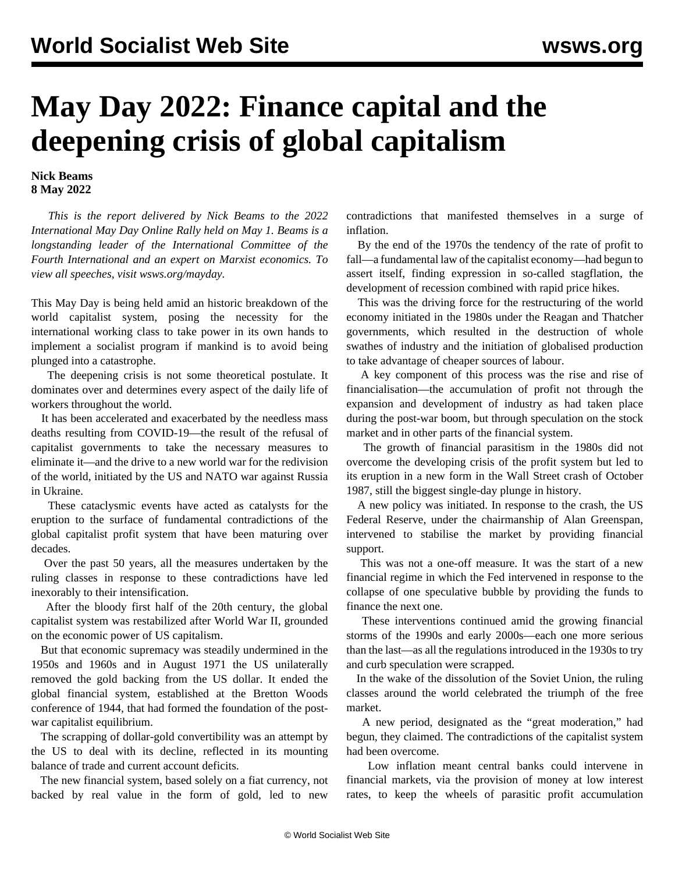## **May Day 2022: Finance capital and the deepening crisis of global capitalism**

## **Nick Beams 8 May 2022**

 *This is the report delivered by Nick Beams to the 2022 International May Day Online Rally held on May 1. Beams is a longstanding leader of the International Committee of the Fourth International and an expert on Marxist economics. To view all speeches, visit [wsws.org/mayday.](/mayday)*

This May Day is being held amid an historic breakdown of the world capitalist system, posing the necessity for the international working class to take power in its own hands to implement a socialist program if mankind is to avoid being plunged into a catastrophe.

 The deepening crisis is not some theoretical postulate. It dominates over and determines every aspect of the daily life of workers throughout the world.

 It has been accelerated and exacerbated by the needless mass deaths resulting from COVID-19—the result of the refusal of capitalist governments to take the necessary measures to eliminate it—and the drive to a new world war for the redivision of the world, initiated by the US and NATO war against Russia in Ukraine.

 These cataclysmic events have acted as catalysts for the eruption to the surface of fundamental contradictions of the global capitalist profit system that have been maturing over decades.

 Over the past 50 years, all the measures undertaken by the ruling classes in response to these contradictions have led inexorably to their intensification.

 After the bloody first half of the 20th century, the global capitalist system was restabilized after World War II, grounded on the economic power of US capitalism.

 But that economic supremacy was steadily undermined in the 1950s and 1960s and in August 1971 the US unilaterally removed the gold backing from the US dollar. It ended the global financial system, established at the Bretton Woods conference of 1944, that had formed the foundation of the postwar capitalist equilibrium.

 The scrapping of dollar-gold convertibility was an attempt by the US to deal with its decline, reflected in its mounting balance of trade and current account deficits.

 The new financial system, based solely on a fiat currency, not backed by real value in the form of gold, led to new contradictions that manifested themselves in a surge of inflation.

 By the end of the 1970s the tendency of the rate of profit to fall—a fundamental law of the capitalist economy—had begun to assert itself, finding expression in so-called stagflation, the development of recession combined with rapid price hikes.

 This was the driving force for the restructuring of the world economy initiated in the 1980s under the Reagan and Thatcher governments, which resulted in the destruction of whole swathes of industry and the initiation of globalised production to take advantage of cheaper sources of labour.

 A key component of this process was the rise and rise of financialisation—the accumulation of profit not through the expansion and development of industry as had taken place during the post-war boom, but through speculation on the stock market and in other parts of the financial system.

 The growth of financial parasitism in the 1980s did not overcome the developing crisis of the profit system but led to its eruption in a new form in the Wall Street crash of October 1987, still the biggest single-day plunge in history.

 A new policy was initiated. In response to the crash, the US Federal Reserve, under the chairmanship of Alan Greenspan, intervened to stabilise the market by providing financial support.

 This was not a one-off measure. It was the start of a new financial regime in which the Fed intervened in response to the collapse of one speculative bubble by providing the funds to finance the next one.

 These interventions continued amid the growing financial storms of the 1990s and early 2000s—each one more serious than the last—as all the regulations introduced in the 1930s to try and curb speculation were scrapped.

 In the wake of the dissolution of the Soviet Union, the ruling classes around the world celebrated the triumph of the free market.

 A new period, designated as the "great moderation," had begun, they claimed. The contradictions of the capitalist system had been overcome.

 Low inflation meant central banks could intervene in financial markets, via the provision of money at low interest rates, to keep the wheels of parasitic profit accumulation